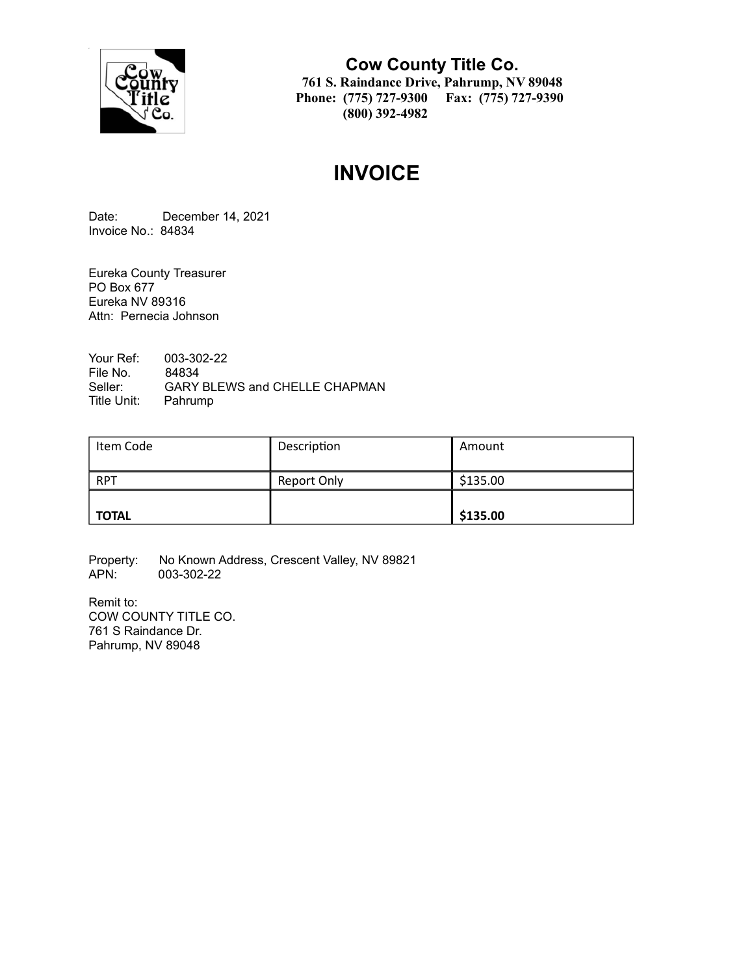

**Cow County Title Co. 761 S. Raindance Drive, Pahrump, NV 89048 Phone: (775) 727-9300 Fax: (775) 727-9390 (800) 392-4982**

# **INVOICE**

Date: December 14, 2021 Invoice No.: 84834

Eureka County Treasurer PO Box 677 Eureka NV 89316 Attn: Pernecia Johnson

Your Ref: 003-302-22 File No. 84834<br>Seller: GARY GARY BLEWS and CHELLE CHAPMAN Title Unit: Pahrump

| Item Code    | Description | Amount   |
|--------------|-------------|----------|
| <b>RPT</b>   | Report Only | \$135.00 |
| <b>TOTAL</b> |             | \$135.00 |

Property: No Known Address, Crescent Valley, NV 89821<br>APN: 003-302-22 003-302-22

Remit to: COW COUNTY TITLE CO. 761 S Raindance Dr. Pahrump, NV 89048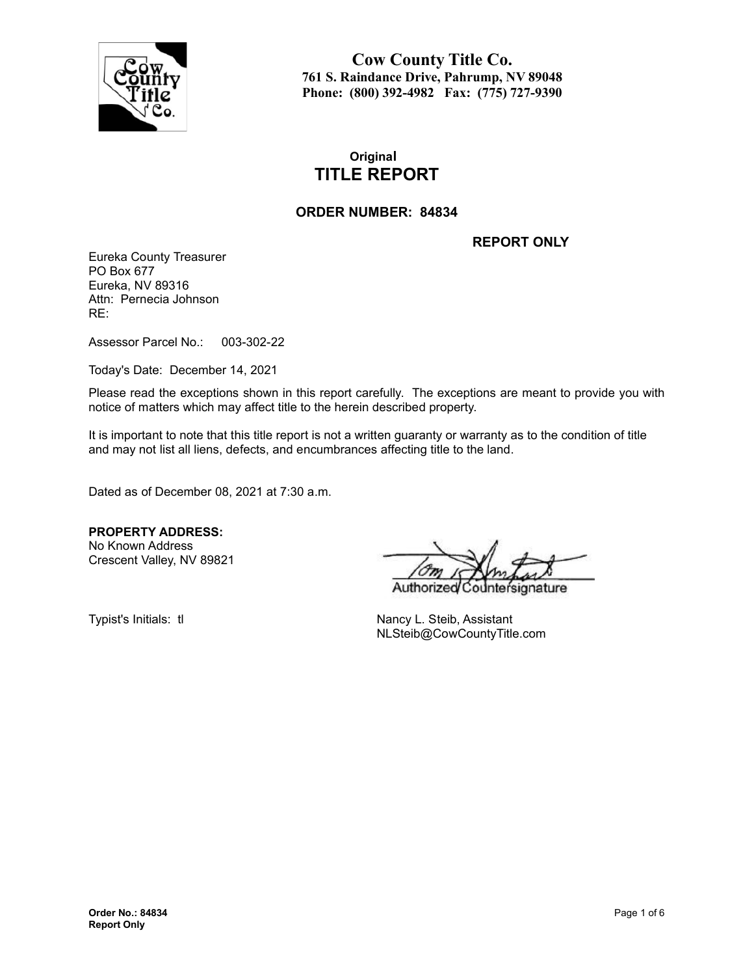

**Cow County Title Co. 761 S. Raindance Drive, Pahrump, NV 89048 Phone: (800) 392-4982 Fax: (775) 727-9390**

## **Original TITLE REPORT**

#### **ORDER NUMBER: 84834**

**REPORT ONLY**

Eureka County Treasurer PO Box 677 Eureka, NV 89316 Attn: Pernecia Johnson RE:

Assessor Parcel No.: 003-302-22

Today's Date: December 14, 2021

Please read the exceptions shown in this report carefully. The exceptions are meant to provide you with notice of matters which may affect title to the herein described property.

It is important to note that this title report is not a written guaranty or warranty as to the condition of title and may not list all liens, defects, and encumbrances affecting title to the land.

Dated as of December 08, 2021 at 7:30 a.m.

**PROPERTY ADDRESS:** No Known Address

Crescent Valley, NV 89821

Authorize nature

Typist's Initials: tl Nancy L. Steib, Assistant NLSteib@CowCountyTitle.com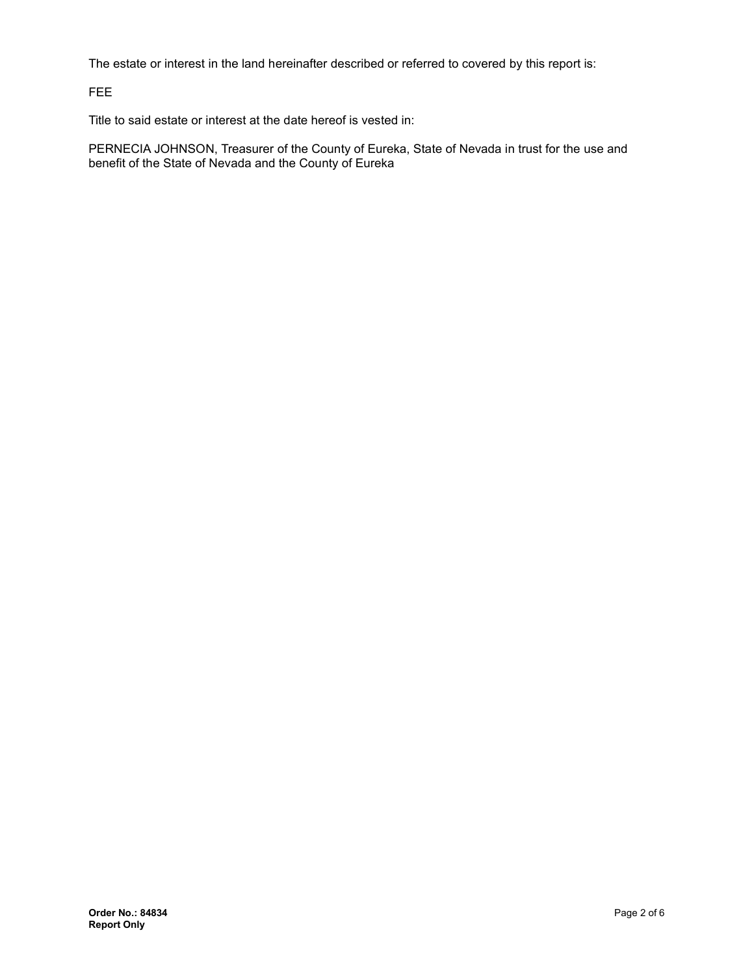The estate or interest in the land hereinafter described or referred to covered by this report is:

FEE

Title to said estate or interest at the date hereof is vested in:

PERNECIA JOHNSON, Treasurer of the County of Eureka, State of Nevada in trust for the use and benefit of the State of Nevada and the County of Eureka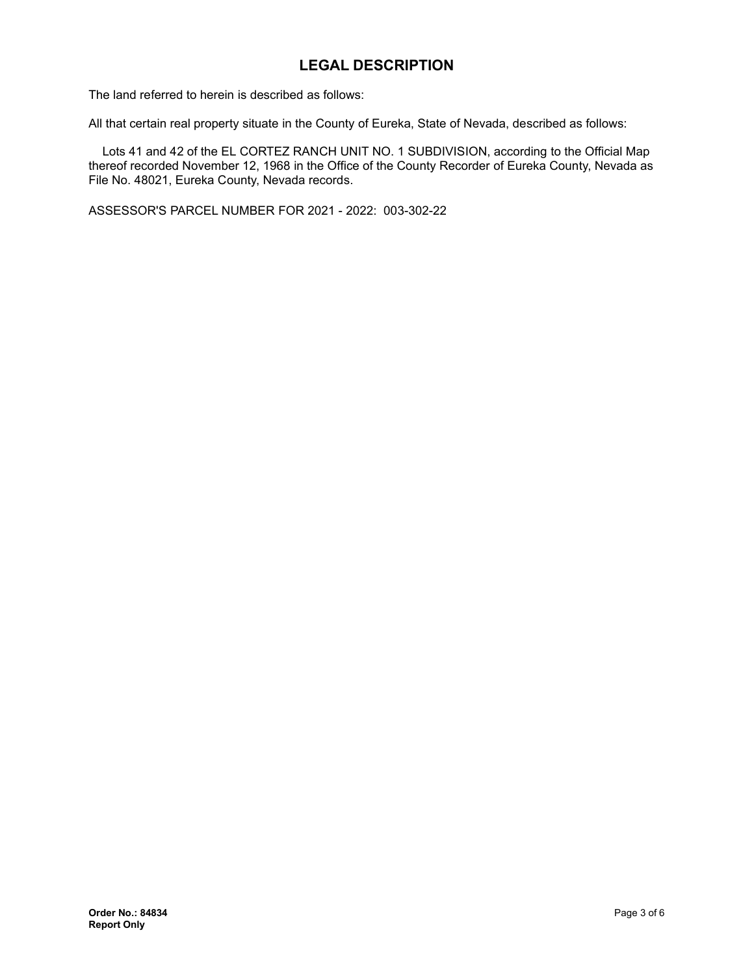## **LEGAL DESCRIPTION**

The land referred to herein is described as follows:

All that certain real property situate in the County of Eureka, State of Nevada, described as follows:

Lots 41 and 42 of the EL CORTEZ RANCH UNIT NO. 1 SUBDIVISION, according to the Official Map thereof recorded November 12, 1968 in the Office of the County Recorder of Eureka County, Nevada as File No. 48021, Eureka County, Nevada records.

ASSESSOR'S PARCEL NUMBER FOR 2021 - 2022: 003-302-22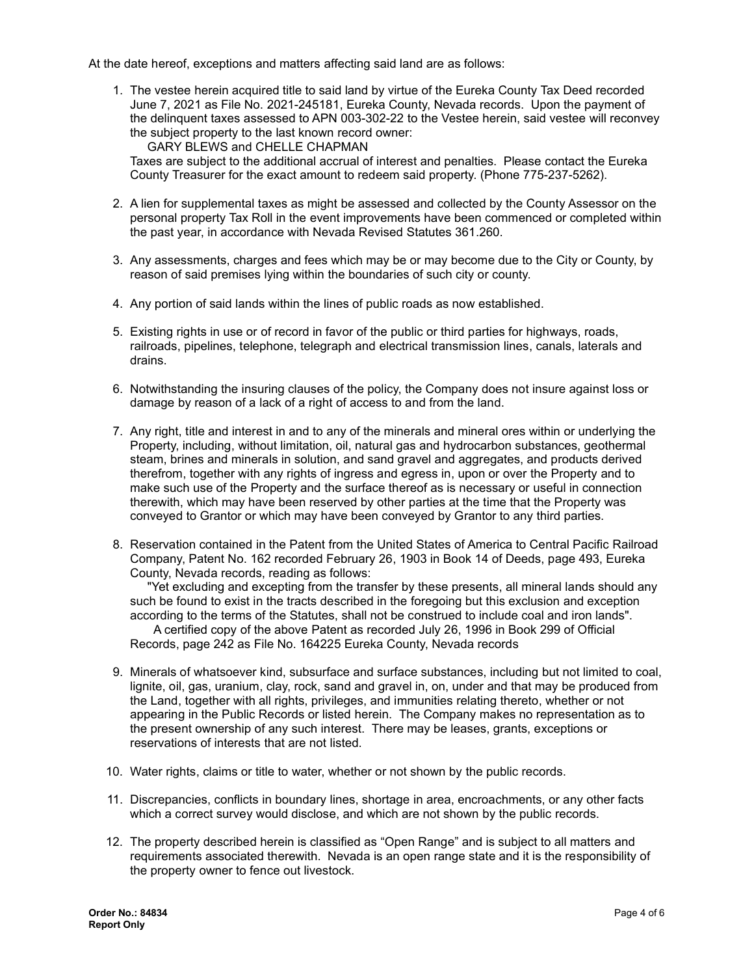At the date hereof, exceptions and matters affecting said land are as follows:

1. The vestee herein acquired title to said land by virtue of the Eureka County Tax Deed recorded June 7, 2021 as File No. 2021-245181, Eureka County, Nevada records. Upon the payment of the delinquent taxes assessed to APN 003-302-22 to the Vestee herein, said vestee will reconvey the subject property to the last known record owner:

GARY BLEWS and CHELLE CHAPMAN Taxes are subject to the additional accrual of interest and penalties. Please contact the Eureka County Treasurer for the exact amount to redeem said property. (Phone 775-237-5262).

- 2. A lien for supplemental taxes as might be assessed and collected by the County Assessor on the personal property Tax Roll in the event improvements have been commenced or completed within the past year, in accordance with Nevada Revised Statutes 361.260.
- 3. Any assessments, charges and fees which may be or may become due to the City or County, by reason of said premises lying within the boundaries of such city or county.
- 4. Any portion of said lands within the lines of public roads as now established.
- 5. Existing rights in use or of record in favor of the public or third parties for highways, roads, railroads, pipelines, telephone, telegraph and electrical transmission lines, canals, laterals and drains.
- 6. Notwithstanding the insuring clauses of the policy, the Company does not insure against loss or damage by reason of a lack of a right of access to and from the land.
- 7. Any right, title and interest in and to any of the minerals and mineral ores within or underlying the Property, including, without limitation, oil, natural gas and hydrocarbon substances, geothermal steam, brines and minerals in solution, and sand gravel and aggregates, and products derived therefrom, together with any rights of ingress and egress in, upon or over the Property and to make such use of the Property and the surface thereof as is necessary or useful in connection therewith, which may have been reserved by other parties at the time that the Property was conveyed to Grantor or which may have been conveyed by Grantor to any third parties.
- 8. Reservation contained in the Patent from the United States of America to Central Pacific Railroad Company, Patent No. 162 recorded February 26, 1903 in Book 14 of Deeds, page 493, Eureka County, Nevada records, reading as follows:

"Yet excluding and excepting from the transfer by these presents, all mineral lands should any such be found to exist in the tracts described in the foregoing but this exclusion and exception according to the terms of the Statutes, shall not be construed to include coal and iron lands". A certified copy of the above Patent as recorded July 26, 1996 in Book 299 of Official

Records, page 242 as File No. 164225 Eureka County, Nevada records

- 9. Minerals of whatsoever kind, subsurface and surface substances, including but not limited to coal, lignite, oil, gas, uranium, clay, rock, sand and gravel in, on, under and that may be produced from the Land, together with all rights, privileges, and immunities relating thereto, whether or not appearing in the Public Records or listed herein. The Company makes no representation as to the present ownership of any such interest. There may be leases, grants, exceptions or reservations of interests that are not listed.
- 10. Water rights, claims or title to water, whether or not shown by the public records.
- 11. Discrepancies, conflicts in boundary lines, shortage in area, encroachments, or any other facts which a correct survey would disclose, and which are not shown by the public records.
- 12. The property described herein is classified as "Open Range" and is subject to all matters and requirements associated therewith. Nevada is an open range state and it is the responsibility of the property owner to fence out livestock.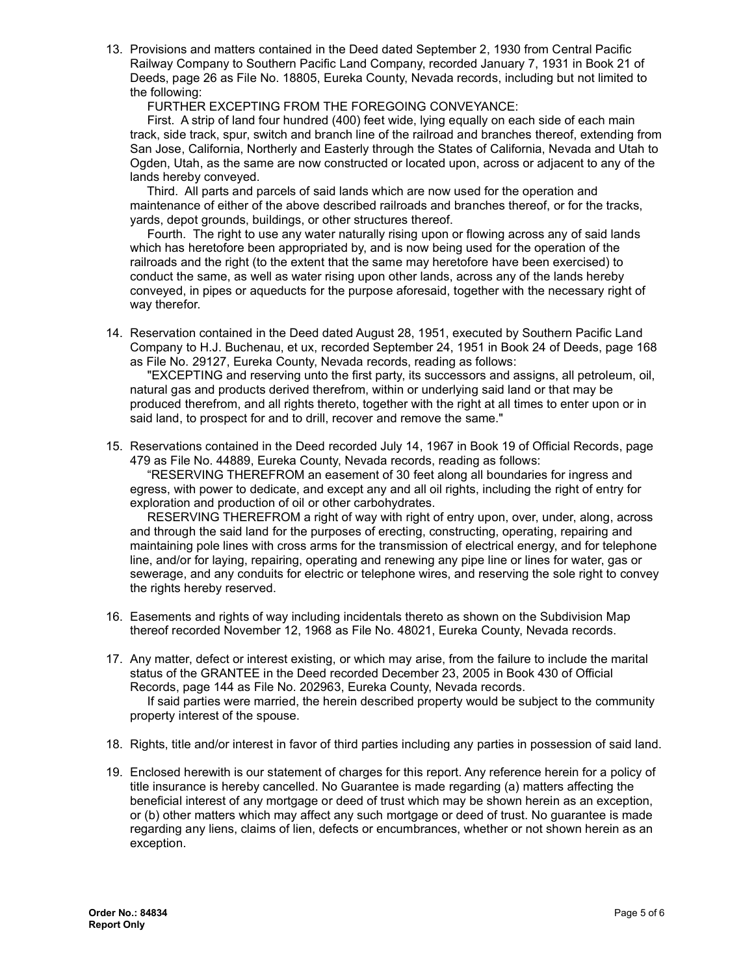13. Provisions and matters contained in the Deed dated September 2, 1930 from Central Pacific Railway Company to Southern Pacific Land Company, recorded January 7, 1931 in Book 21 of Deeds, page 26 as File No. 18805, Eureka County, Nevada records, including but not limited to the following:

FURTHER EXCEPTING FROM THE FOREGOING CONVEYANCE:

First. A strip of land four hundred (400) feet wide, lying equally on each side of each main track, side track, spur, switch and branch line of the railroad and branches thereof, extending from San Jose, California, Northerly and Easterly through the States of California, Nevada and Utah to Ogden, Utah, as the same are now constructed or located upon, across or adjacent to any of the lands hereby conveyed.

Third. All parts and parcels of said lands which are now used for the operation and maintenance of either of the above described railroads and branches thereof, or for the tracks, yards, depot grounds, buildings, or other structures thereof.

Fourth. The right to use any water naturally rising upon or flowing across any of said lands which has heretofore been appropriated by, and is now being used for the operation of the railroads and the right (to the extent that the same may heretofore have been exercised) to conduct the same, as well as water rising upon other lands, across any of the lands hereby conveyed, in pipes or aqueducts for the purpose aforesaid, together with the necessary right of way therefor.

14. Reservation contained in the Deed dated August 28, 1951, executed by Southern Pacific Land Company to H.J. Buchenau, et ux, recorded September 24, 1951 in Book 24 of Deeds, page 168 as File No. 29127, Eureka County, Nevada records, reading as follows:

"EXCEPTING and reserving unto the first party, its successors and assigns, all petroleum, oil, natural gas and products derived therefrom, within or underlying said land or that may be produced therefrom, and all rights thereto, together with the right at all times to enter upon or in said land, to prospect for and to drill, recover and remove the same."

15. Reservations contained in the Deed recorded July 14, 1967 in Book 19 of Official Records, page 479 as File No. 44889, Eureka County, Nevada records, reading as follows:

"RESERVING THEREFROM an easement of 30 feet along all boundaries for ingress and egress, with power to dedicate, and except any and all oil rights, including the right of entry for exploration and production of oil or other carbohydrates.

RESERVING THEREFROM a right of way with right of entry upon, over, under, along, across and through the said land for the purposes of erecting, constructing, operating, repairing and maintaining pole lines with cross arms for the transmission of electrical energy, and for telephone line, and/or for laying, repairing, operating and renewing any pipe line or lines for water, gas or sewerage, and any conduits for electric or telephone wires, and reserving the sole right to convey the rights hereby reserved.

- 16. Easements and rights of way including incidentals thereto as shown on the Subdivision Map thereof recorded November 12, 1968 as File No. 48021, Eureka County, Nevada records.
- 17. Any matter, defect or interest existing, or which may arise, from the failure to include the marital status of the GRANTEE in the Deed recorded December 23, 2005 in Book 430 of Official Records, page 144 as File No. 202963, Eureka County, Nevada records. If said parties were married, the herein described property would be subject to the community property interest of the spouse.
- 18. Rights, title and/or interest in favor of third parties including any parties in possession of said land.
- 19. Enclosed herewith is our statement of charges for this report. Any reference herein for a policy of title insurance is hereby cancelled. No Guarantee is made regarding (a) matters affecting the beneficial interest of any mortgage or deed of trust which may be shown herein as an exception, or (b) other matters which may affect any such mortgage or deed of trust. No guarantee is made regarding any liens, claims of lien, defects or encumbrances, whether or not shown herein as an exception.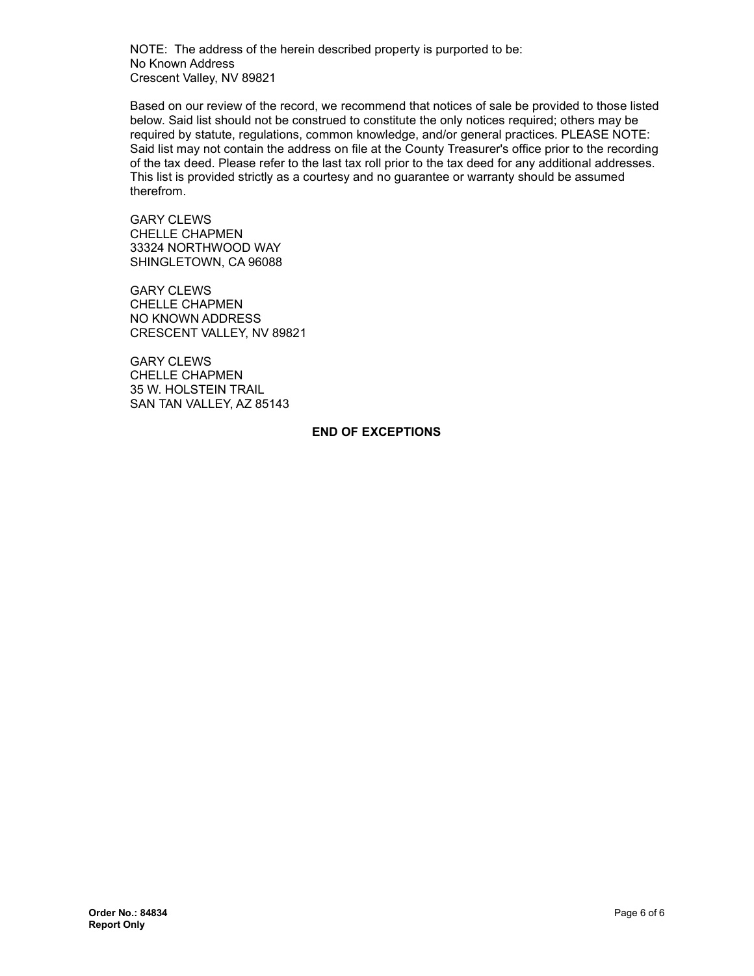NOTE: The address of the herein described property is purported to be: No Known Address Crescent Valley, NV 89821

Based on our review of the record, we recommend that notices of sale be provided to those listed below. Said list should not be construed to constitute the only notices required; others may be required by statute, regulations, common knowledge, and/or general practices. PLEASE NOTE: Said list may not contain the address on file at the County Treasurer's office prior to the recording of the tax deed. Please refer to the last tax roll prior to the tax deed for any additional addresses. This list is provided strictly as a courtesy and no guarantee or warranty should be assumed therefrom.

**GARY CLEWS** CHELLE CHAPMEN 33324 NORTHWOOD WAY SHINGLETOWN, CA 96088

GARY CLEWS CHELLE CHAPMEN NO KNOWN ADDRESS CRESCENT VALLEY, NV 89821

GARY CLEWS CHELLE CHAPMEN 35 W. HOLSTEIN TRAIL SAN TAN VALLEY, AZ 85143

#### **END OF EXCEPTIONS**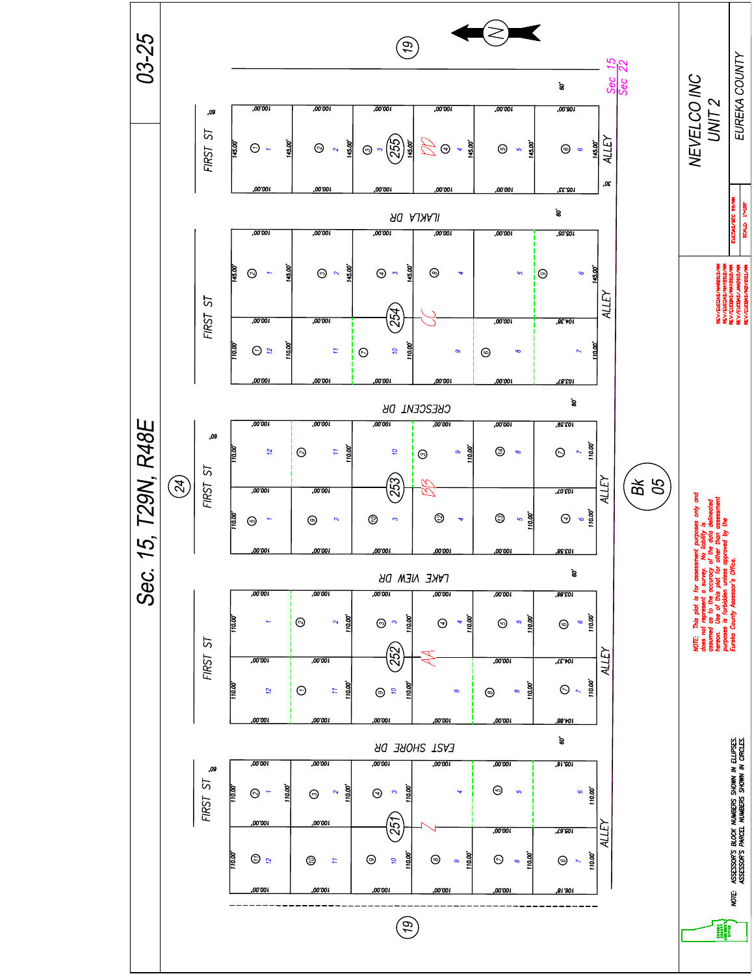